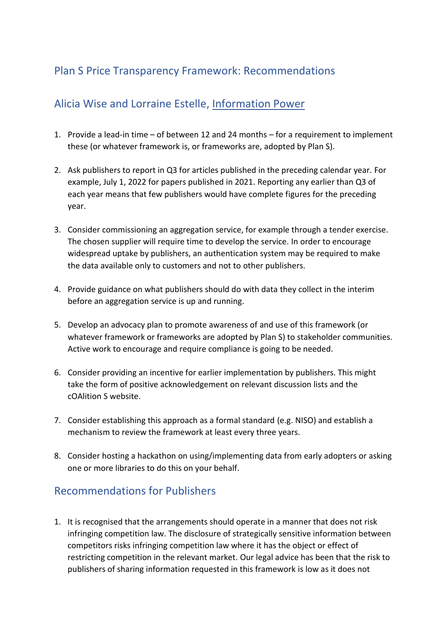# Plan S Price Transparency Framework: Recommendations

# Alicia Wise and Lorraine Estelle, [Information Power](https://protect-eu.mimecast.com/s/jjsXCEl89UpoEGEcNb1Yi?domain=informationpower.co.uk/)

- 1. Provide a lead-in time of between 12 and 24 months for a requirement to implement these (or whatever framework is, or frameworks are, adopted by Plan S).
- 2. Ask publishers to report in Q3 for articles published in the preceding calendar year. For example, July 1, 2022 for papers published in 2021. Reporting any earlier than Q3 of each year means that few publishers would have complete figures for the preceding year.
- 3. Consider commissioning an aggregation service, for example through a tender exercise. The chosen supplier will require time to develop the service. In order to encourage widespread uptake by publishers, an authentication system may be required to make the data available only to customers and not to other publishers.
- 4. Provide guidance on what publishers should do with data they collect in the interim before an aggregation service is up and running.
- 5. Develop an advocacy plan to promote awareness of and use of this framework (or whatever framework or frameworks are adopted by Plan S) to stakeholder communities. Active work to encourage and require compliance is going to be needed.
- 6. Consider providing an incentive for earlier implementation by publishers. This might take the form of positive acknowledgement on relevant discussion lists and the cOAlition S website.
- 7. Consider establishing this approach as a formal standard (e.g. NISO) and establish a mechanism to review the framework at least every three years.
- 8. Consider hosting a hackathon on using/implementing data from early adopters or asking one or more libraries to do this on your behalf.

# Recommendations for Publishers

1. It is recognised that the arrangements should operate in a manner that does not risk infringing competition law. The disclosure of strategically sensitive information between competitors risks infringing competition law where it has the object or effect of restricting competition in the relevant market. Our legal advice has been that the risk to publishers of sharing information requested in this framework is low as it does not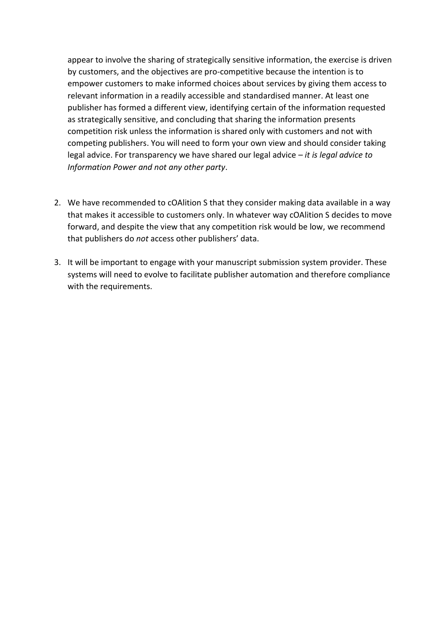appear to involve the sharing of strategically sensitive information, the exercise is driven by customers, and the objectives are pro-competitive because the intention is to empower customers to make informed choices about services by giving them access to relevant information in a readily accessible and standardised manner. At least one publisher has formed a different view, identifying certain of the information requested as strategically sensitive, and concluding that sharing the information presents competition risk unless the information is shared only with customers and not with competing publishers. You will need to form your own view and should consider taking legal advice. For transparency we have shared our legal advice – *it is legal advice to Information Power and not any other party*.

- 2. We have recommended to cOAlition S that they consider making data available in a way that makes it accessible to customers only. In whatever way cOAlition S decides to move forward, and despite the view that any competition risk would be low, we recommend that publishers do *not* access other publishers' data.
- 3. It will be important to engage with your manuscript submission system provider. These systems will need to evolve to facilitate publisher automation and therefore compliance with the requirements.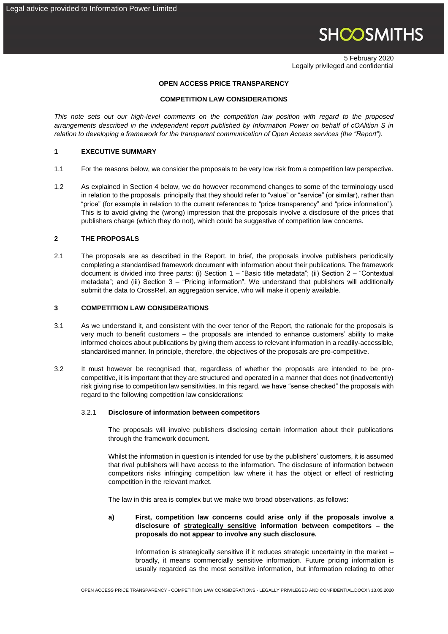# **SHOOSMITHS**

5 February 2020 Legally privileged and confidential

### **OPEN ACCESS PRICE TRANSPARENCY**

#### **COMPETITION LAW CONSIDERATIONS**

*This note sets out our high-level comments on the competition law position with regard to the proposed arrangements described in the independent report published by Information Power on behalf of cOAlition S in relation to developing a framework for the transparent communication of Open Access services (the "Report").*

## **1 EXECUTIVE SUMMARY**

- 1.1 For the reasons below, we consider the proposals to be very low risk from a competition law perspective.
- 1.2 As explained in Section 4 below, we do however recommend changes to some of the terminology used in relation to the proposals, principally that they should refer to "value" or "service" (or similar), rather than "price" (for example in relation to the current references to "price transparency" and "price information"). This is to avoid giving the (wrong) impression that the proposals involve a disclosure of the prices that publishers charge (which they do not), which could be suggestive of competition law concerns.

#### **2 THE PROPOSALS**

2.1 The proposals are as described in the Report. In brief, the proposals involve publishers periodically completing a standardised framework document with information about their publications. The framework document is divided into three parts: (i) Section 1 – "Basic title metadata"; (ii) Section 2 – "Contextual metadata"; and (iii) Section 3 – "Pricing information". We understand that publishers will additionally submit the data to CrossRef, an aggregation service, who will make it openly available.

## **3 COMPETITION LAW CONSIDERATIONS**

- 3.1 As we understand it, and consistent with the over tenor of the Report, the rationale for the proposals is very much to benefit customers – the proposals are intended to enhance customers' ability to make informed choices about publications by giving them access to relevant information in a readily-accessible, standardised manner. In principle, therefore, the objectives of the proposals are pro-competitive.
- 3.2 It must however be recognised that, regardless of whether the proposals are intended to be procompetitive, it is important that they are structured and operated in a manner that does not (inadvertently) risk giving rise to competition law sensitivities. In this regard, we have "sense checked" the proposals with regard to the following competition law considerations:

#### 3.2.1 **Disclosure of information between competitors**

The proposals will involve publishers disclosing certain information about their publications through the framework document.

Whilst the information in question is intended for use by the publishers' customers, it is assumed that rival publishers will have access to the information. The disclosure of information between competitors risks infringing competition law where it has the object or effect of restricting competition in the relevant market.

The law in this area is complex but we make two broad observations, as follows:

# **a) First, competition law concerns could arise only if the proposals involve a disclosure of strategically sensitive information between competitors – the proposals do not appear to involve any such disclosure.**

Information is strategically sensitive if it reduces strategic uncertainty in the market – broadly, it means commercially sensitive information. Future pricing information is usually regarded as the most sensitive information, but information relating to other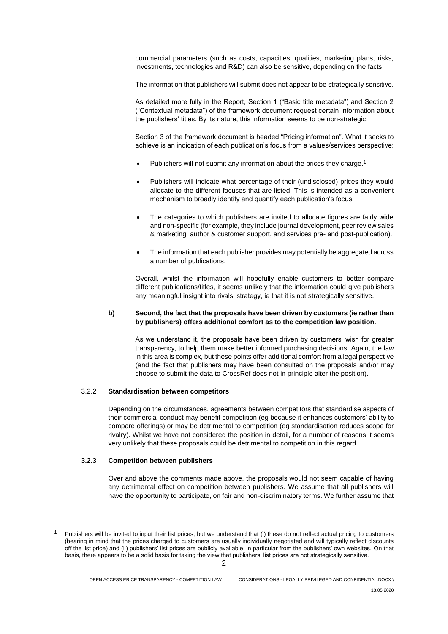commercial parameters (such as costs, capacities, qualities, marketing plans, risks, investments, technologies and R&D) can also be sensitive, depending on the facts.

The information that publishers will submit does not appear to be strategically sensitive.

As detailed more fully in the Report, Section 1 ("Basic title metadata") and Section 2 ("Contextual metadata") of the framework document request certain information about the publishers' titles. By its nature, this information seems to be non-strategic.

Section 3 of the framework document is headed "Pricing information". What it seeks to achieve is an indication of each publication's focus from a values/services perspective:

- Publishers will not submit any information about the prices they charge.<sup>1</sup>
- Publishers will indicate what percentage of their (undisclosed) prices they would allocate to the different focuses that are listed. This is intended as a convenient mechanism to broadly identify and quantify each publication's focus.
- The categories to which publishers are invited to allocate figures are fairly wide and non-specific (for example, they include journal development, peer review sales & marketing, author & customer support, and services pre- and post-publication).
- The information that each publisher provides may potentially be aggregated across a number of publications.

Overall, whilst the information will hopefully enable customers to better compare different publications/titles, it seems unlikely that the information could give publishers any meaningful insight into rivals' strategy, ie that it is not strategically sensitive.

#### **b) Second, the fact that the proposals have been driven by customers (ie rather than by publishers) offers additional comfort as to the competition law position.**

As we understand it, the proposals have been driven by customers' wish for greater transparency, to help them make better informed purchasing decisions. Again, the law in this area is complex, but these points offer additional comfort from a legal perspective (and the fact that publishers may have been consulted on the proposals and/or may choose to submit the data to CrossRef does not in principle alter the position).

# 3.2.2 **Standardisation between competitors**

Depending on the circumstances, agreements between competitors that standardise aspects of their commercial conduct may benefit competition (eg because it enhances customers' ability to compare offerings) or may be detrimental to competition (eg standardisation reduces scope for rivalry). Whilst we have not considered the position in detail, for a number of reasons it seems very unlikely that these proposals could be detrimental to competition in this regard.

#### **3.2.3 Competition between publishers**

-

Over and above the comments made above, the proposals would not seem capable of having any detrimental effect on competition between publishers. We assume that all publishers will have the opportunity to participate, on fair and non-discriminatory terms. We further assume that

Publishers will be invited to input their list prices, but we understand that (i) these do not reflect actual pricing to customers (bearing in mind that the prices charged to customers are usually individually negotiated and will typically reflect discounts off the list price) and (ii) publishers' list prices are publicly available, in particular from the publishers' own websites. On that basis, there appears to be a solid basis for taking the view that publishers' list prices are not strategically sensitive.